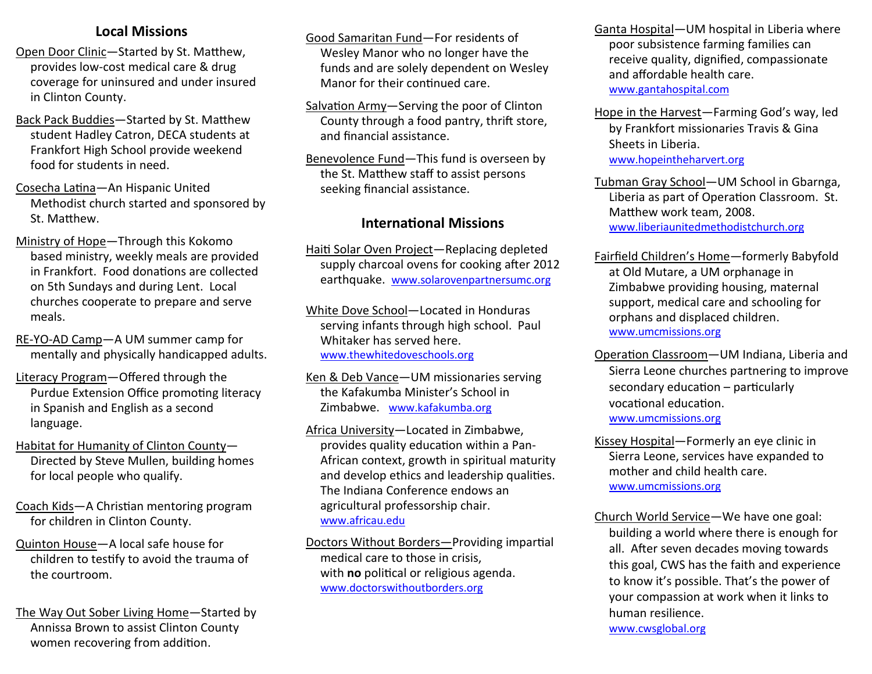## **Local Missions**

- Open Door Clinic—Started by St. Matthew, provides low-cost medical care & drug coverage for uninsured and under insured in Clinton County.
- Back Pack Buddies—Started by St. Matthew student Hadley Catron, DECA students at Frankfort High School provide weekend food for students in need.
- Cosecha Latina—An Hispanic United Methodist church started and sponsored by St. Matthew.
- Ministry of Hope—Through this Kokomo based ministry, weekly meals are provided in Frankfort. Food donations are collected on 5th Sundays and during Lent. Local churches cooperate to prepare and serve meals.
- RE-YO-AD Camp—A UM summer camp for mentally and physically handicapped adults.
- Literacy Program—Offered through the Purdue Extension Office promoting literacy in Spanish and English as a second language.
- Habitat for Humanity of Clinton County— Directed by Steve Mullen, building homes for local people who qualify.
- Coach Kids—A Christian mentoring program for children in Clinton County.
- Quinton House—A local safe house for children to testify to avoid the trauma of the courtroom.
- The Way Out Sober Living Home—Started by Annissa Brown to assist Clinton County women recovering from addition.
- Good Samaritan Fund—For residents of Wesley Manor who no longer have the funds and are solely dependent on Wesley Manor for their continued care.
- Salvation Army—Serving the poor of Clinton County through a food pantry, thrift store, and financial assistance.
- Benevolence Fund—This fund is overseen by the St. Matthew staff to assist persons seeking financial assistance.

#### **International Missions**

- Haiti Solar Oven Project—Replacing depleted supply charcoal ovens for cooking after 2012 earthquake. www.solarovenpartnersumc.org
- White Dove School—Located in Honduras serving infants through high school. Paul Whitaker has served here. www.thewhitedoveschools.org
- Ken & Deb Vance—UM missionaries serving the Kafakumba Minister's School in Zimbabwe. www.kafakumba.org
- Africa University—Located in Zimbabwe, provides quality education within a Pan-African context, growth in spiritual maturity and develop ethics and leadership qualities. The Indiana Conference endows an agricultural professorship chair. www.africau.edu
- Doctors Without Borders—Providing impartial medical care to those in crisis, with **no** political or religious agenda. www.doctorswithoutborders.org

Ganta Hospital—UM hospital in Liberia where poor subsistence farming families can receive quality, dignified, compassionate and affordable health care. www.gantahospital.com

- Hope in the Harvest—Farming God's way, led by Frankfort missionaries Travis & Gina Sheets in Liberia. www.hopeintheharvert.org
- Tubman Gray School—UM School in Gbarnga, Liberia as part of Operation Classroom. St. Matthew work team, 2008. www.liberiaunitedmethodistchurch.org
- Fairfield Children's Home—formerly Babyfold at Old Mutare, a UM orphanage in Zimbabwe providing housing, maternal support, medical care and schooling for orphans and displaced children. www.umcmissions.org
- Operation Classroom—UM Indiana, Liberia and Sierra Leone churches partnering to improve secondary education – particularly vocational education. www.umcmissions.org
- Kissey Hospital—Formerly an eye clinic in Sierra Leone, services have expanded to mother and child health care. www.umcmissions.org
- Church World Service—We have one goal: building a world where there is enough for all. After seven decades moving towards this goal, CWS has the faith and experience to know it's possible. That's the power of your compassion at work when it links to human resilience. www.cwsglobal.org